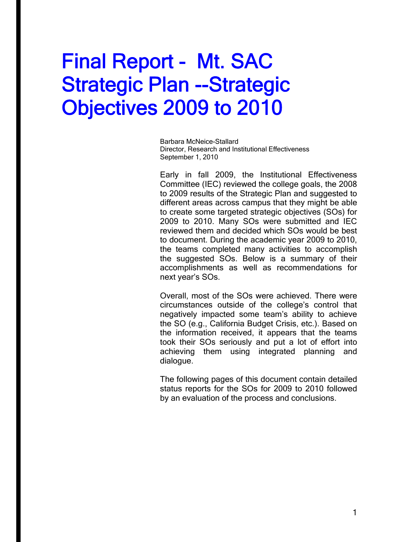# Final Report - Mt. SAC **Strategic Plan --Strategic** Objectives 2009 to 2010

Barbara McNeice-Stallard Director, Research and Institutional Effectiveness September 1, 2010

Early in fall 2009, the Institutional Effectiveness Committee (IEC) reviewed the college goals, the 2008 to 2009 results of the Strategic Plan and suggested to different areas across campus that they might be able to create some targeted strategic objectives (SOs) for 2009 to 2010. Many SOs were submitted and IEC reviewed them and decided which SOs would be best to document. During the academic year 2009 to 2010, the teams completed many activities to accomplish the suggested SOs. Below is a summary of their accomplishments as well as recommendations for next year's SOs.

Overall, most of the SOs were achieved. There were circumstances outside of the college's control that negatively impacted some team's ability to achieve the SO (e.g., California Budget Crisis, etc.). Based on the information received, it appears that the teams took their SOs seriously and put a lot of effort into achieving them using integrated planning and dialogue.

The following pages of this document contain detailed status reports for the SOs for 2009 to 2010 followed by an evaluation of the process and conclusions.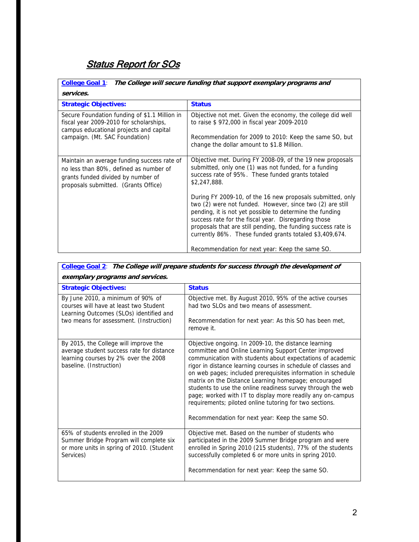# **Status Report for SOs**

**College Goal 1**: **The College will secure funding that support exemplary programs and services.** 

| <b>Strategic Objectives:</b>                                                                                                                                        | <b>Status</b>                                                                                                                                                                                                                                                                                                                                                           |  |
|---------------------------------------------------------------------------------------------------------------------------------------------------------------------|-------------------------------------------------------------------------------------------------------------------------------------------------------------------------------------------------------------------------------------------------------------------------------------------------------------------------------------------------------------------------|--|
| Secure Foundation funding of \$1.1 Million in<br>fiscal year 2009-2010 for scholarships,<br>campus educational projects and capital                                 | Objective not met. Given the economy, the college did well<br>to raise \$ 972,000 in fiscal year 2009-2010                                                                                                                                                                                                                                                              |  |
| campaign. (Mt. SAC Foundation)                                                                                                                                      | Recommendation for 2009 to 2010: Keep the same SO, but<br>change the dollar amount to \$1.8 Million.                                                                                                                                                                                                                                                                    |  |
| Maintain an average funding success rate of<br>no less than 80%, defined as number of<br>grants funded divided by number of<br>proposals submitted. (Grants Office) | Objective met. During FY 2008-09, of the 19 new proposals<br>submitted, only one (1) was not funded, for a funding<br>success rate of 95%. These funded grants totaled<br>\$2,247,888.                                                                                                                                                                                  |  |
|                                                                                                                                                                     | During FY 2009-10, of the 16 new proposals submitted, only<br>two (2) were not funded. However, since two (2) are still<br>pending, it is not yet possible to determine the funding<br>success rate for the fiscal year. Disregarding those<br>proposals that are still pending, the funding success rate is<br>currently 86%. These funded grants totaled \$3,409,674. |  |
|                                                                                                                                                                     | Recommendation for next year: Keep the same SO.                                                                                                                                                                                                                                                                                                                         |  |

| College Goal 2: The College will prepare students for success through the development of                                                                          |                                                                                                                                                                                                                                                                                                                                                                                                                                                                                                                                                                                                                 |  |
|-------------------------------------------------------------------------------------------------------------------------------------------------------------------|-----------------------------------------------------------------------------------------------------------------------------------------------------------------------------------------------------------------------------------------------------------------------------------------------------------------------------------------------------------------------------------------------------------------------------------------------------------------------------------------------------------------------------------------------------------------------------------------------------------------|--|
| exemplary programs and services.                                                                                                                                  |                                                                                                                                                                                                                                                                                                                                                                                                                                                                                                                                                                                                                 |  |
| <b>Strategic Objectives:</b>                                                                                                                                      | <b>Status</b>                                                                                                                                                                                                                                                                                                                                                                                                                                                                                                                                                                                                   |  |
| By June 2010, a minimum of 90% of<br>courses will have at least two Student<br>Learning Outcomes (SLOs) identified and<br>two means for assessment. (Instruction) | Objective met. By August 2010, 95% of the active courses<br>had two SLOs and two means of assessment.<br>Recommendation for next year: As this SO has been met,<br>remove it.                                                                                                                                                                                                                                                                                                                                                                                                                                   |  |
| By 2015, the College will improve the<br>average student success rate for distance<br>learning courses by 2% over the 2008<br>baseline. (Instruction)             | Objective ongoing. In 2009-10, the distance learning<br>committee and Online Learning Support Center improved<br>communication with students about expectations of academic<br>rigor in distance learning courses in schedule of classes and<br>on web pages; included prerequisites information in schedule<br>matrix on the Distance Learning homepage; encouraged<br>students to use the online readiness survey through the web<br>page; worked with IT to display more readily any on-campus<br>requirements; piloted online tutoring for two sections.<br>Recommendation for next year: Keep the same SO. |  |
| 65% of students enrolled in the 2009<br>Summer Bridge Program will complete six<br>or more units in spring of 2010. (Student<br>Services)                         | Objective met. Based on the number of students who<br>participated in the 2009 Summer Bridge program and were<br>enrolled in Spring 2010 (215 students), 77% of the students<br>successfully completed 6 or more units in spring 2010.<br>Recommendation for next year: Keep the same SO.                                                                                                                                                                                                                                                                                                                       |  |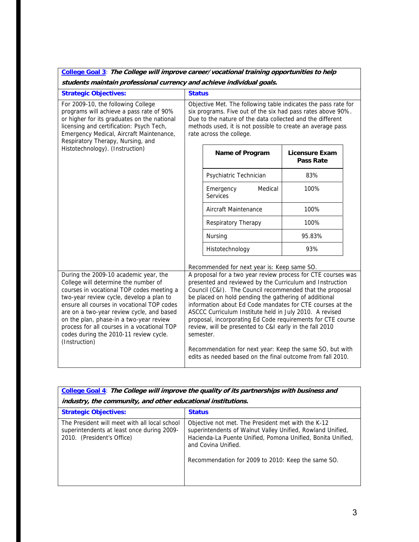**College Goal 3**: **The College will improve career/vocational training opportunities to help students maintain professional currency and achieve individual goals.** 

| <b>Strategic Objectives:</b>                                                                                                                                                                                                                                                                                                                                                                                           | <b>Status</b> |                                                                                                                                                                                                                                                                                                                                                                                                                                                                                                                                                                                                                           |                                           |  |
|------------------------------------------------------------------------------------------------------------------------------------------------------------------------------------------------------------------------------------------------------------------------------------------------------------------------------------------------------------------------------------------------------------------------|---------------|---------------------------------------------------------------------------------------------------------------------------------------------------------------------------------------------------------------------------------------------------------------------------------------------------------------------------------------------------------------------------------------------------------------------------------------------------------------------------------------------------------------------------------------------------------------------------------------------------------------------------|-------------------------------------------|--|
| For 2009-10, the following College<br>programs will achieve a pass rate of 90%<br>or higher for its graduates on the national<br>licensing and certification: Psych Tech,<br>Emergency Medical, Aircraft Maintenance,<br>Respiratory Therapy, Nursing, and                                                                                                                                                             |               | Objective Met. The following table indicates the pass rate for<br>six programs. Five out of the six had pass rates above 90%.<br>Due to the nature of the data collected and the different<br>methods used, it is not possible to create an average pass<br>rate across the college.                                                                                                                                                                                                                                                                                                                                      |                                           |  |
| Histotechnology). (Instruction)                                                                                                                                                                                                                                                                                                                                                                                        |               | Name of Program                                                                                                                                                                                                                                                                                                                                                                                                                                                                                                                                                                                                           | <b>Licensure Exam</b><br><b>Pass Rate</b> |  |
|                                                                                                                                                                                                                                                                                                                                                                                                                        |               | Psychiatric Technician                                                                                                                                                                                                                                                                                                                                                                                                                                                                                                                                                                                                    | 83%                                       |  |
|                                                                                                                                                                                                                                                                                                                                                                                                                        |               | Medical<br>Emergency<br><b>Services</b>                                                                                                                                                                                                                                                                                                                                                                                                                                                                                                                                                                                   | 100%                                      |  |
|                                                                                                                                                                                                                                                                                                                                                                                                                        |               | Aircraft Maintenance                                                                                                                                                                                                                                                                                                                                                                                                                                                                                                                                                                                                      | 100%                                      |  |
|                                                                                                                                                                                                                                                                                                                                                                                                                        |               | Respiratory Therapy                                                                                                                                                                                                                                                                                                                                                                                                                                                                                                                                                                                                       | 100%                                      |  |
|                                                                                                                                                                                                                                                                                                                                                                                                                        |               | <b>Nursing</b>                                                                                                                                                                                                                                                                                                                                                                                                                                                                                                                                                                                                            | 95.83%                                    |  |
|                                                                                                                                                                                                                                                                                                                                                                                                                        |               | Histotechnology                                                                                                                                                                                                                                                                                                                                                                                                                                                                                                                                                                                                           | 93%                                       |  |
|                                                                                                                                                                                                                                                                                                                                                                                                                        |               | Recommended for next year is: Keep same SO.                                                                                                                                                                                                                                                                                                                                                                                                                                                                                                                                                                               |                                           |  |
| During the 2009-10 academic year, the<br>College will determine the number of<br>courses in vocational TOP codes meeting a<br>two-year review cycle, develop a plan to<br>ensure all courses in vocational TOP codes<br>are on a two-year review cycle, and based<br>on the plan, phase-in a two-year review<br>process for all courses in a vocational TOP<br>codes during the 2010-11 review cycle.<br>(Instruction) | semester.     | A proposal for a two year review process for CTE courses was<br>presented and reviewed by the Curriculum and Instruction<br>Council (C&I). The Council recommended that the proposal<br>be placed on hold pending the gathering of additional<br>information about Ed Code mandates for CTE courses at the<br>ASCCC Curriculum Institute held in July 2010. A revised<br>proposal, incorporating Ed Code requirements for CTE course<br>review, will be presented to C&I early in the fall 2010<br>Recommendation for next year: Keep the same SO, but with<br>edits as needed based on the final outcome from fall 2010. |                                           |  |

| <b>College Goal 4:</b> The College will improve the quality of its partnerships with business and<br>industry, the community, and other educational institutions. |                                                                                                                                                                                                                                                              |  |
|-------------------------------------------------------------------------------------------------------------------------------------------------------------------|--------------------------------------------------------------------------------------------------------------------------------------------------------------------------------------------------------------------------------------------------------------|--|
| <b>Strategic Objectives:</b>                                                                                                                                      | <b>Status</b>                                                                                                                                                                                                                                                |  |
| The President will meet with all local school<br>superintendents at least once during 2009-<br>2010. (President's Office)                                         | Objective not met. The President met with the K-12<br>superintendents of Walnut Valley Unified, Rowland Unified,<br>Hacienda-La Puente Unified, Pomona Unified, Bonita Unified,<br>and Covina Unified.<br>Recommendation for 2009 to 2010: Keep the same SO. |  |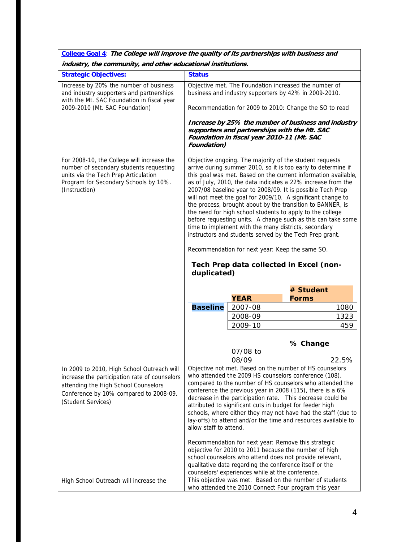| College Goal 4: The College will improve the quality of its partnerships with business and                                                                                                          |                        |                                                                                                                                                                    |                                                                                                                                                                                                                                                                                                                                                                                                                                                                                                                                                                                                                                               |
|-----------------------------------------------------------------------------------------------------------------------------------------------------------------------------------------------------|------------------------|--------------------------------------------------------------------------------------------------------------------------------------------------------------------|-----------------------------------------------------------------------------------------------------------------------------------------------------------------------------------------------------------------------------------------------------------------------------------------------------------------------------------------------------------------------------------------------------------------------------------------------------------------------------------------------------------------------------------------------------------------------------------------------------------------------------------------------|
| industry, the community, and other educational institutions.                                                                                                                                        |                        |                                                                                                                                                                    |                                                                                                                                                                                                                                                                                                                                                                                                                                                                                                                                                                                                                                               |
| <b>Strategic Objectives:</b>                                                                                                                                                                        | <b>Status</b>          |                                                                                                                                                                    |                                                                                                                                                                                                                                                                                                                                                                                                                                                                                                                                                                                                                                               |
| Increase by 20% the number of business<br>and industry supporters and partnerships<br>with the Mt. SAC Foundation in fiscal year                                                                    |                        |                                                                                                                                                                    | Objective met. The Foundation increased the number of<br>business and industry supporters by 42% in 2009-2010.                                                                                                                                                                                                                                                                                                                                                                                                                                                                                                                                |
| 2009-2010 (Mt. SAC Foundation)                                                                                                                                                                      |                        |                                                                                                                                                                    | Recommendation for 2009 to 2010: Change the SO to read                                                                                                                                                                                                                                                                                                                                                                                                                                                                                                                                                                                        |
|                                                                                                                                                                                                     | <b>Foundation</b> )    | supporters and partnerships with the Mt. SAC<br>Foundation in fiscal year 2010-11 (Mt. SAC                                                                         | Increase by 25% the number of business and industry                                                                                                                                                                                                                                                                                                                                                                                                                                                                                                                                                                                           |
| For 2008-10, the College will increase the<br>number of secondary students requesting<br>units via the Tech Prep Articulation<br>Program for Secondary Schools by 10%.<br>(Instruction)             |                        | time to implement with the many districts, secondary                                                                                                               | Objective ongoing. The majority of the student requests<br>arrive during summer 2010, so it is too early to determine if<br>this goal was met. Based on the current information available,<br>as of July, 2010, the data indicates a 22% increase from the<br>2007/08 baseline year to 2008/09. It is possible Tech Prep<br>will not meet the goal for 2009/10. A significant change to<br>the process, brought about by the transition to BANNER, is<br>the need for high school students to apply to the college<br>before requesting units. A change such as this can take some<br>instructors and students served by the Tech Prep grant. |
|                                                                                                                                                                                                     |                        | Recommendation for next year: Keep the same SO.                                                                                                                    |                                                                                                                                                                                                                                                                                                                                                                                                                                                                                                                                                                                                                                               |
|                                                                                                                                                                                                     | duplicated)            |                                                                                                                                                                    | Tech Prep data collected in Excel (non-                                                                                                                                                                                                                                                                                                                                                                                                                                                                                                                                                                                                       |
|                                                                                                                                                                                                     |                        |                                                                                                                                                                    | # Student                                                                                                                                                                                                                                                                                                                                                                                                                                                                                                                                                                                                                                     |
|                                                                                                                                                                                                     |                        | <b>YEAR</b>                                                                                                                                                        | <b>Forms</b>                                                                                                                                                                                                                                                                                                                                                                                                                                                                                                                                                                                                                                  |
|                                                                                                                                                                                                     | <b>Baseline</b>        | 2007-08                                                                                                                                                            | 1080                                                                                                                                                                                                                                                                                                                                                                                                                                                                                                                                                                                                                                          |
|                                                                                                                                                                                                     |                        | 2008-09                                                                                                                                                            | 1323                                                                                                                                                                                                                                                                                                                                                                                                                                                                                                                                                                                                                                          |
|                                                                                                                                                                                                     |                        | 2009-10                                                                                                                                                            | 459                                                                                                                                                                                                                                                                                                                                                                                                                                                                                                                                                                                                                                           |
|                                                                                                                                                                                                     |                        |                                                                                                                                                                    | % Change                                                                                                                                                                                                                                                                                                                                                                                                                                                                                                                                                                                                                                      |
|                                                                                                                                                                                                     |                        | 07/08 to                                                                                                                                                           |                                                                                                                                                                                                                                                                                                                                                                                                                                                                                                                                                                                                                                               |
|                                                                                                                                                                                                     |                        | 08/09                                                                                                                                                              | 22.5%                                                                                                                                                                                                                                                                                                                                                                                                                                                                                                                                                                                                                                         |
| In 2009 to 2010, High School Outreach will<br>increase the participation rate of counselors<br>attending the High School Counselors<br>Conference by 10% compared to 2008-09.<br>(Student Services) | allow staff to attend. | attributed to significant cuts in budget for feeder high                                                                                                           | Objective not met. Based on the number of HS counselors<br>who attended the 2009 HS counselors conference (108),<br>compared to the number of HS counselors who attended the<br>conference the previous year in 2008 (115), there is a 6%<br>decrease in the participation rate. This decrease could be<br>schools, where either they may not have had the staff (due to<br>lay-offs) to attend and/or the time and resources available to                                                                                                                                                                                                    |
|                                                                                                                                                                                                     |                        | Recommendation for next year: Remove this strategic<br>qualitative data regarding the conference itself or the<br>counselors' experiences while at the conference. | objective for 2010 to 2011 because the number of high<br>school counselors who attend does not provide relevant,                                                                                                                                                                                                                                                                                                                                                                                                                                                                                                                              |
| High School Outreach will increase the                                                                                                                                                              |                        | This objective was met. Based on the number of students                                                                                                            |                                                                                                                                                                                                                                                                                                                                                                                                                                                                                                                                                                                                                                               |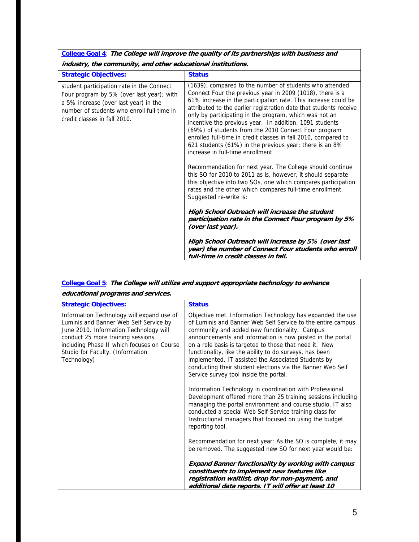**College Goal 4**: **The College will improve the quality of its partnerships with business and industry, the community, and other educational institutions.** 

| <b>Strategic Objectives:</b>                                                                                                                                                                                  | <b>Status</b>                                                                                                                                                                                                                                                                                                                                                                                                                                                                                                                                                                                                                                                                                                                                                                                                                                                                                                                                                                                                                                                                       |
|---------------------------------------------------------------------------------------------------------------------------------------------------------------------------------------------------------------|-------------------------------------------------------------------------------------------------------------------------------------------------------------------------------------------------------------------------------------------------------------------------------------------------------------------------------------------------------------------------------------------------------------------------------------------------------------------------------------------------------------------------------------------------------------------------------------------------------------------------------------------------------------------------------------------------------------------------------------------------------------------------------------------------------------------------------------------------------------------------------------------------------------------------------------------------------------------------------------------------------------------------------------------------------------------------------------|
| student participation rate in the Connect<br>Four program by 5% (over last year); with<br>a 5% increase (over last year) in the<br>number of students who enroll full-time in<br>credit classes in fall 2010. | (1639), compared to the number of students who attended<br>Connect Four the previous year in 2009 (1018), there is a<br>61% increase in the participation rate. This increase could be<br>attributed to the earlier registration date that students receive<br>only by participating in the program, which was not an<br>incentive the previous year. In addition, 1091 students<br>(69%) of students from the 2010 Connect Four program<br>enrolled full-time in credit classes in fall 2010, compared to<br>621 students (61%) in the previous year; there is an 8%<br>increase in full-time enrollment.<br>Recommendation for next year. The College should continue<br>this SO for 2010 to 2011 as is, however, it should separate<br>this objective into two SOs, one which compares participation<br>rates and the other which compares full-time enrollment.<br>Suggested re-write is:<br>High School Outreach will increase the student<br>participation rate in the Connect Four program by 5%<br>(over last year).<br>High School Outreach will increase by 5% (over last |
|                                                                                                                                                                                                               | year) the number of Connect Four students who enroll<br>full-time in credit classes in fall.                                                                                                                                                                                                                                                                                                                                                                                                                                                                                                                                                                                                                                                                                                                                                                                                                                                                                                                                                                                        |

| College Goal 5: The College will utilize and support appropriate technology to enhance                                                                                                                                                                               |                                                                                                                                                                                                                                                                                                                                                                                                                                                                                                                             |  |
|----------------------------------------------------------------------------------------------------------------------------------------------------------------------------------------------------------------------------------------------------------------------|-----------------------------------------------------------------------------------------------------------------------------------------------------------------------------------------------------------------------------------------------------------------------------------------------------------------------------------------------------------------------------------------------------------------------------------------------------------------------------------------------------------------------------|--|
| educational programs and services.<br><b>Status</b><br><b>Strategic Objectives:</b>                                                                                                                                                                                  |                                                                                                                                                                                                                                                                                                                                                                                                                                                                                                                             |  |
| Information Technology will expand use of<br>Luminis and Banner Web Self Service by<br>June 2010. Information Technology will<br>conduct 25 more training sessions,<br>including Phase II which focuses on Course<br>Studio for Faculty. (Information<br>Technology) | Objective met. Information Technology has expanded the use<br>of Luminis and Banner Web Self Service to the entire campus<br>community and added new functionality. Campus<br>announcements and information is now posted in the portal<br>on a role basis is targeted to those that need it. New<br>functionality, like the ability to do surveys, has been<br>implemented. IT assisted the Associated Students by<br>conducting their student elections via the Banner Web Self<br>Service survey tool inside the portal. |  |
|                                                                                                                                                                                                                                                                      | Information Technology in coordination with Professional<br>Development offered more than 25 training sessions including<br>managing the portal environment and course studio. IT also<br>conducted a special Web Self-Service training class for<br>Instructional managers that focused on using the budget<br>reporting tool.                                                                                                                                                                                             |  |
|                                                                                                                                                                                                                                                                      | Recommendation for next year: As the SO is complete, it may<br>be removed. The suggested new SO for next year would be:                                                                                                                                                                                                                                                                                                                                                                                                     |  |
|                                                                                                                                                                                                                                                                      | <b>Expand Banner functionality by working with campus</b><br>constituents to implement new features like<br>registration waitlist, drop for non-payment, and<br>additional data reports. IT will offer at least 10                                                                                                                                                                                                                                                                                                          |  |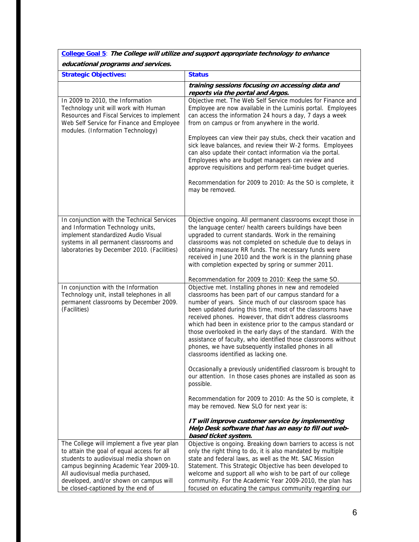**College Goal 5**: **The College will utilize and support appropriate technology to enhance educational programs and services.** 

| <b>Strategic Objectives:</b>                                                                                                                                                                                                                                                                      | <b>Status</b>                                                                                                                                                                                                                                                                                                                                                                                                                                                                                                                                                                                                                                                                                                                                                                                                                                                                                                                                                                                                                                             |  |  |
|---------------------------------------------------------------------------------------------------------------------------------------------------------------------------------------------------------------------------------------------------------------------------------------------------|-----------------------------------------------------------------------------------------------------------------------------------------------------------------------------------------------------------------------------------------------------------------------------------------------------------------------------------------------------------------------------------------------------------------------------------------------------------------------------------------------------------------------------------------------------------------------------------------------------------------------------------------------------------------------------------------------------------------------------------------------------------------------------------------------------------------------------------------------------------------------------------------------------------------------------------------------------------------------------------------------------------------------------------------------------------|--|--|
|                                                                                                                                                                                                                                                                                                   | training sessions focusing on accessing data and<br>reports via the portal and Argos.                                                                                                                                                                                                                                                                                                                                                                                                                                                                                                                                                                                                                                                                                                                                                                                                                                                                                                                                                                     |  |  |
| In 2009 to 2010, the Information<br>Technology unit will work with Human<br>Resources and Fiscal Services to implement<br>Web Self Service for Finance and Employee<br>modules. (Information Technology)                                                                                          | Objective met. The Web Self Service modules for Finance and<br>Employee are now available in the Luminis portal. Employees<br>can access the information 24 hours a day, 7 days a week<br>from on campus or from anywhere in the world.                                                                                                                                                                                                                                                                                                                                                                                                                                                                                                                                                                                                                                                                                                                                                                                                                   |  |  |
|                                                                                                                                                                                                                                                                                                   | Employees can view their pay stubs, check their vacation and<br>sick leave balances, and review their W-2 forms. Employees<br>can also update their contact information via the portal.<br>Employees who are budget managers can review and<br>approve requisitions and perform real-time budget queries.                                                                                                                                                                                                                                                                                                                                                                                                                                                                                                                                                                                                                                                                                                                                                 |  |  |
|                                                                                                                                                                                                                                                                                                   | Recommendation for 2009 to 2010: As the SO is complete, it<br>may be removed.                                                                                                                                                                                                                                                                                                                                                                                                                                                                                                                                                                                                                                                                                                                                                                                                                                                                                                                                                                             |  |  |
| In conjunction with the Technical Services<br>and Information Technology units,<br>implement standardized Audio Visual<br>systems in all permanent classrooms and<br>laboratories by December 2010. (Facilities)                                                                                  | Objective ongoing. All permanent classrooms except those in<br>the language center/ health careers buildings have been<br>upgraded to current standards. Work in the remaining<br>classrooms was not completed on schedule due to delays in<br>obtaining measure RR funds. The necessary funds were<br>received in June 2010 and the work is in the planning phase<br>with completion expected by spring or summer 2011.                                                                                                                                                                                                                                                                                                                                                                                                                                                                                                                                                                                                                                  |  |  |
| In conjunction with the Information<br>Technology unit, install telephones in all<br>permanent classrooms by December 2009.<br>(Facilities)                                                                                                                                                       | Recommendation for 2009 to 2010: Keep the same SO.<br>Objective met. Installing phones in new and remodeled<br>classrooms has been part of our campus standard for a<br>number of years. Since much of our classroom space has<br>been updated during this time, most of the classrooms have<br>received phones. However, that didn't address classrooms<br>which had been in existence prior to the campus standard or<br>those overlooked in the early days of the standard. With the<br>assistance of faculty, who identified those classrooms without<br>phones, we have subsequently installed phones in all<br>classrooms identified as lacking one.<br>Occasionally a previously unidentified classroom is brought to<br>our attention. In those cases phones are installed as soon as<br>possible.<br>Recommendation for 2009 to 2010: As the SO is complete, it<br>may be removed. New SLO for next year is:<br>IT will improve customer service by implementing<br>Help Desk software that has an easy to fill out web-<br>based ticket system. |  |  |
| The College will implement a five year plan<br>to attain the goal of equal access for all<br>students to audiovisual media shown on<br>campus beginning Academic Year 2009-10.<br>All audiovisual media purchased,<br>developed, and/or shown on campus will<br>be closed-captioned by the end of | Objective is ongoing. Breaking down barriers to access is not<br>only the right thing to do, it is also mandated by multiple<br>state and federal laws, as well as the Mt. SAC Mission<br>Statement. This Strategic Objective has been developed to<br>welcome and support all who wish to be part of our college<br>community. For the Academic Year 2009-2010, the plan has<br>focused on educating the campus community regarding our                                                                                                                                                                                                                                                                                                                                                                                                                                                                                                                                                                                                                  |  |  |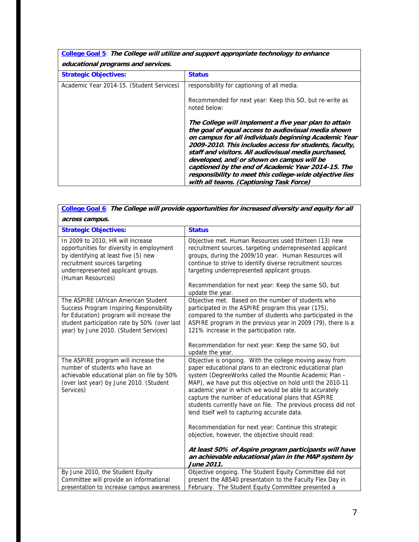| College Goal 5: The College will utilize and support appropriate technology to enhance |
|----------------------------------------------------------------------------------------|
| educational programs and services.                                                     |

| caacational programs and scribecs.        |                                                                                                                                                                                                                                                                                                                                                                                                                                                                                                  |  |
|-------------------------------------------|--------------------------------------------------------------------------------------------------------------------------------------------------------------------------------------------------------------------------------------------------------------------------------------------------------------------------------------------------------------------------------------------------------------------------------------------------------------------------------------------------|--|
| <b>Strategic Objectives:</b>              | <b>Status</b>                                                                                                                                                                                                                                                                                                                                                                                                                                                                                    |  |
| Academic Year 2014-15. (Student Services) | responsibility for captioning of all media.                                                                                                                                                                                                                                                                                                                                                                                                                                                      |  |
|                                           | Recommended for next year: Keep this SO, but re-write as<br>noted below:                                                                                                                                                                                                                                                                                                                                                                                                                         |  |
|                                           | The College will implement a five year plan to attain<br>the goal of equal access to audiovisual media shown<br>on campus for all individuals beginning Academic Year<br>2009-2010. This includes access for students, faculty,<br>staff and visitors. All audiovisual media purchased,<br>developed, and/or shown on campus will be<br>captioned by the end of Academic Year 2014-15. The<br>responsibility to meet this college-wide objective lies<br>with all teams. (Captioning Task Force) |  |

| College Goal 6: The College will provide opportunities for increased diversity and equity for all                                                                                                                      |                                                                                                                                                                                                                                                                                                                                                                                                                                                                                                                                                                                                                                                                                                                        |  |
|------------------------------------------------------------------------------------------------------------------------------------------------------------------------------------------------------------------------|------------------------------------------------------------------------------------------------------------------------------------------------------------------------------------------------------------------------------------------------------------------------------------------------------------------------------------------------------------------------------------------------------------------------------------------------------------------------------------------------------------------------------------------------------------------------------------------------------------------------------------------------------------------------------------------------------------------------|--|
| across campus.                                                                                                                                                                                                         |                                                                                                                                                                                                                                                                                                                                                                                                                                                                                                                                                                                                                                                                                                                        |  |
| <b>Strategic Objectives:</b>                                                                                                                                                                                           | <b>Status</b>                                                                                                                                                                                                                                                                                                                                                                                                                                                                                                                                                                                                                                                                                                          |  |
| In 2009 to 2010, HR will increase<br>opportunities for diversity in employment<br>by identifying at least five (5) new<br>recruitment sources targeting<br>underrepresented applicant groups.<br>(Human Resources)     | Objective met. Human Resources used thirteen (13) new<br>recruitment sources, targeting underrepresented applicant<br>groups, during the 2009/10 year. Human Resources will<br>continue to strive to identify diverse recruitment sources<br>targeting underrepresented applicant groups.<br>Recommendation for next year: Keep the same SO, but<br>update the year.                                                                                                                                                                                                                                                                                                                                                   |  |
| The ASPIRE (African American Student<br>Success Program Inspiring Responsibility<br>for Education) program will increase the<br>student participation rate by 50% (over last<br>year) by June 2010. (Student Services) | Objective met. Based on the number of students who<br>participated in the ASPIRE program this year (175),<br>compared to the number of students who participated in the<br>ASPIRE program in the previous year in 2009 (79), there is a<br>121% increase in the participation rate.<br>Recommendation for next year: Keep the same SO, but<br>update the year.                                                                                                                                                                                                                                                                                                                                                         |  |
| The ASPIRE program will increase the<br>number of students who have an<br>achievable educational plan on file by 50%<br>(over last year) by June 2010. (Student<br>Services)                                           | Objective is ongoing. With the college moving away from<br>paper educational plans to an electronic educational plan<br>system (DegreeWorks called the Mountie Academic Plan -<br>MAP), we have put this objective on hold until the 2010-11<br>academic year in which we would be able to accurately<br>capture the number of educational plans that ASPIRE<br>students currently have on file. The previous process did not<br>lend itself well to capturing accurate data.<br>Recommendation for next year: Continue this strategic<br>objective, however, the objective should read:<br>At least 50% of Aspire program participants will have<br>an achievable educational plan in the MAP system by<br>June 2011. |  |
| By June 2010, the Student Equity<br>Committee will provide an informational<br>presentation to increase campus awareness                                                                                               | Objective ongoing. The Student Equity Committee did not<br>present the AB540 presentation to the Faculty Flex Day in<br>February. The Student Equity Committee presented a                                                                                                                                                                                                                                                                                                                                                                                                                                                                                                                                             |  |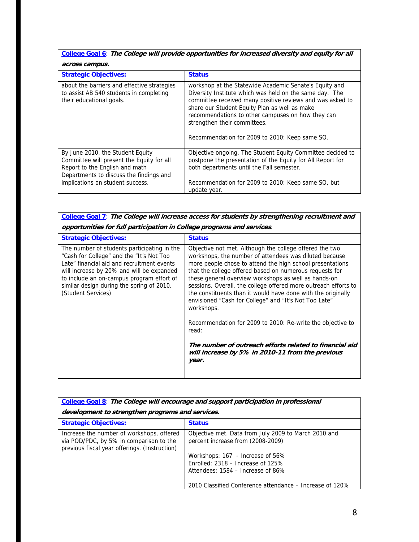**College Goal 6**: **The College will provide opportunities for increased diversity and equity for all across campus.** 

| <b>Strategic Objectives:</b>                                                                                                                                                                   | <b>Status</b>                                                                                                                                                                                                                                                                                                                                                          |  |
|------------------------------------------------------------------------------------------------------------------------------------------------------------------------------------------------|------------------------------------------------------------------------------------------------------------------------------------------------------------------------------------------------------------------------------------------------------------------------------------------------------------------------------------------------------------------------|--|
| about the barriers and effective strategies<br>to assist AB 540 students in completing<br>their educational goals.                                                                             | workshop at the Statewide Academic Senate's Equity and<br>Diversity Institute which was held on the same day. The<br>committee received many positive reviews and was asked to<br>share our Student Equity Plan as well as make<br>recommendations to other campuses on how they can<br>strengthen their committees.<br>Recommendation for 2009 to 2010: Keep same SO. |  |
| By June 2010, the Student Equity<br>Committee will present the Equity for all<br>Report to the English and math<br>Departments to discuss the findings and<br>implications on student success. | Objective ongoing. The Student Equity Committee decided to<br>postpone the presentation of the Equity for All Report for<br>both departments until the Fall semester.<br>Recommendation for 2009 to 2010: Keep same SO, but<br>update year.                                                                                                                            |  |

**College Goal 7**: **The College will increase access for students by strengthening recruitment and opportunities for full participation in College programs and services**.

| <b>Strategic Objectives:</b>                                                                                                                                                                                                                                                                       | <b>Status</b>                                                                                                                                                                                                                                                                                                                                                                                                                                                                                                                                                                                                                                                                                              |
|----------------------------------------------------------------------------------------------------------------------------------------------------------------------------------------------------------------------------------------------------------------------------------------------------|------------------------------------------------------------------------------------------------------------------------------------------------------------------------------------------------------------------------------------------------------------------------------------------------------------------------------------------------------------------------------------------------------------------------------------------------------------------------------------------------------------------------------------------------------------------------------------------------------------------------------------------------------------------------------------------------------------|
| The number of students participating in the<br>"Cash for College" and the "It's Not Too<br>Late" financial aid and recruitment events<br>will increase by 20% and will be expanded<br>to include an on-campus program effort of<br>similar design during the spring of 2010.<br>(Student Services) | Objective not met. Although the college offered the two<br>workshops, the number of attendees was diluted because<br>more people chose to attend the high school presentations<br>that the college offered based on numerous requests for<br>these general overview workshops as well as hands-on<br>sessions. Overall, the college offered more outreach efforts to<br>the constituents than it would have done with the originally<br>envisioned "Cash for College" and "It's Not Too Late"<br>workshops.<br>Recommendation for 2009 to 2010: Re-write the objective to<br>read:<br>The number of outreach efforts related to financial aid<br>will increase by 5% in 2010-11 from the previous<br>year. |

| College Goal 8: The College will encourage and support participation in professional                                                  |                                                                                           |
|---------------------------------------------------------------------------------------------------------------------------------------|-------------------------------------------------------------------------------------------|
| development to strengthen programs and services.                                                                                      |                                                                                           |
| <b>Strategic Objectives:</b>                                                                                                          | <b>Status</b>                                                                             |
| Increase the number of workshops, offered<br>via POD/PDC, by 5% in comparison to the<br>previous fiscal year offerings. (Instruction) | Objective met. Data from July 2009 to March 2010 and<br>percent increase from (2008-2009) |
|                                                                                                                                       | Workshops: 167 - Increase of 56%                                                          |
|                                                                                                                                       | Enrolled: 2318 - Increase of 125%                                                         |
|                                                                                                                                       | Attendees: 1584 – Increase of 86%                                                         |
|                                                                                                                                       | 2010 Classified Conference attendance – Increase of 120%                                  |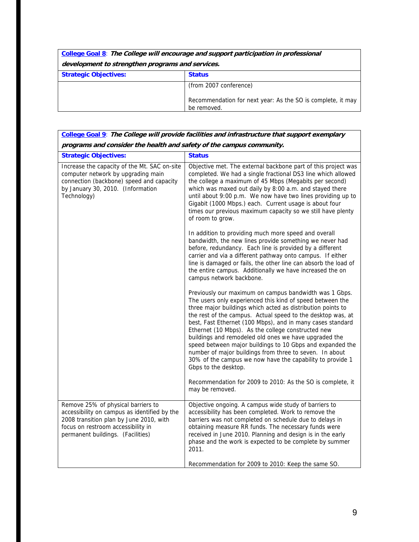| College Goal 8: The College will encourage and support participation in professional |                                                                            |
|--------------------------------------------------------------------------------------|----------------------------------------------------------------------------|
| development to strengthen programs and services.                                     |                                                                            |
| <b>Strategic Objectives:</b>                                                         | <b>Status</b>                                                              |
|                                                                                      | (from 2007 conference)                                                     |
|                                                                                      | Recommendation for next year: As the SO is complete, it may<br>be removed. |

|                                                                                                                                                                                                          | College Goal 9: The College will provide facilities and infrastructure that support exemplary                                                                                                                                                                                                                                                                                                                                                                                                                                                                                                                                                                                                             |
|----------------------------------------------------------------------------------------------------------------------------------------------------------------------------------------------------------|-----------------------------------------------------------------------------------------------------------------------------------------------------------------------------------------------------------------------------------------------------------------------------------------------------------------------------------------------------------------------------------------------------------------------------------------------------------------------------------------------------------------------------------------------------------------------------------------------------------------------------------------------------------------------------------------------------------|
| programs and consider the health and safety of the campus community.                                                                                                                                     |                                                                                                                                                                                                                                                                                                                                                                                                                                                                                                                                                                                                                                                                                                           |
| <b>Strategic Objectives:</b>                                                                                                                                                                             | <b>Status</b>                                                                                                                                                                                                                                                                                                                                                                                                                                                                                                                                                                                                                                                                                             |
| Increase the capacity of the Mt. SAC on-site<br>computer network by upgrading main<br>connection (backbone) speed and capacity<br>by January 30, 2010. (Information<br>Technology)                       | Objective met. The external backbone part of this project was<br>completed. We had a single fractional DS3 line which allowed<br>the college a maximum of 45 Mbps (Megabits per second)<br>which was maxed out daily by 8:00 a.m. and stayed there<br>until about 9:00 p.m. We now have two lines providing up to<br>Gigabit (1000 Mbps.) each. Current usage is about four<br>times our previous maximum capacity so we still have plenty<br>of room to grow.                                                                                                                                                                                                                                            |
|                                                                                                                                                                                                          | In addition to providing much more speed and overall<br>bandwidth, the new lines provide something we never had<br>before, redundancy. Each line is provided by a different<br>carrier and via a different pathway onto campus. If either<br>line is damaged or fails, the other line can absorb the load of<br>the entire campus. Additionally we have increased the on<br>campus network backbone.                                                                                                                                                                                                                                                                                                      |
|                                                                                                                                                                                                          | Previously our maximum on campus bandwidth was 1 Gbps.<br>The users only experienced this kind of speed between the<br>three major buildings which acted as distribution points to<br>the rest of the campus. Actual speed to the desktop was, at<br>best, Fast Ethernet (100 Mbps), and in many cases standard<br>Ethernet (10 Mbps). As the college constructed new<br>buildings and remodeled old ones we have upgraded the<br>speed between major buildings to 10 Gbps and expanded the<br>number of major buildings from three to seven. In about<br>30% of the campus we now have the capability to provide 1<br>Gbps to the desktop.<br>Recommendation for 2009 to 2010: As the SO is complete, it |
|                                                                                                                                                                                                          | may be removed.                                                                                                                                                                                                                                                                                                                                                                                                                                                                                                                                                                                                                                                                                           |
| Remove 25% of physical barriers to<br>accessibility on campus as identified by the<br>2008 transition plan by June 2010, with<br>focus on restroom accessibility in<br>permanent buildings. (Facilities) | Objective ongoing. A campus wide study of barriers to<br>accessibility has been completed. Work to remove the<br>barriers was not completed on schedule due to delays in<br>obtaining measure RR funds. The necessary funds were<br>received in June 2010. Planning and design is in the early<br>phase and the work is expected to be complete by summer<br>2011.                                                                                                                                                                                                                                                                                                                                        |
|                                                                                                                                                                                                          | Recommendation for 2009 to 2010: Keep the same SO.                                                                                                                                                                                                                                                                                                                                                                                                                                                                                                                                                                                                                                                        |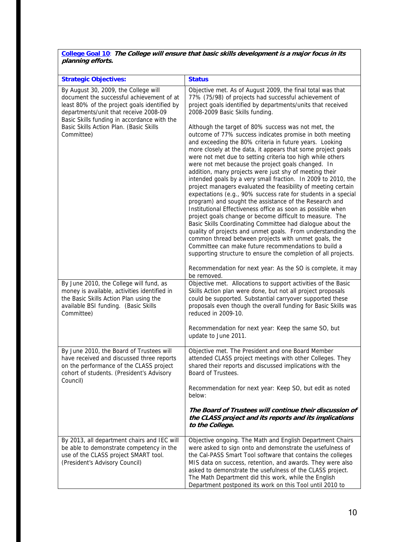#### **College Goal 10**: **The College will ensure that basic skills development is a major focus in its planning efforts.**

| <b>Strategic Objectives:</b>                                                                                                                                                                                              | <b>Status</b>                                                                                                                                                                                                                                                                                                                                                                                                                                                                                                                                                                                                                                                                                                                                                                                                                                                                                                                                                                                                                                                                                                                                                                                   |
|---------------------------------------------------------------------------------------------------------------------------------------------------------------------------------------------------------------------------|-------------------------------------------------------------------------------------------------------------------------------------------------------------------------------------------------------------------------------------------------------------------------------------------------------------------------------------------------------------------------------------------------------------------------------------------------------------------------------------------------------------------------------------------------------------------------------------------------------------------------------------------------------------------------------------------------------------------------------------------------------------------------------------------------------------------------------------------------------------------------------------------------------------------------------------------------------------------------------------------------------------------------------------------------------------------------------------------------------------------------------------------------------------------------------------------------|
| By August 30, 2009, the College will<br>document the successful achievement of at<br>least 80% of the project goals identified by<br>departments/unit that receive 2008-09<br>Basic Skills funding in accordance with the | Objective met. As of August 2009, the final total was that<br>77% (75/98) of projects had successful achievement of<br>project goals identified by departments/units that received<br>2008-2009 Basic Skills funding.                                                                                                                                                                                                                                                                                                                                                                                                                                                                                                                                                                                                                                                                                                                                                                                                                                                                                                                                                                           |
| Basic Skills Action Plan. (Basic Skills<br>Committee)                                                                                                                                                                     | Although the target of 80% success was not met, the<br>outcome of 77% success indicates promise in both meeting<br>and exceeding the 80% criteria in future years. Looking<br>more closely at the data, it appears that some project goals<br>were not met due to setting criteria too high while others<br>were not met because the project goals changed. In<br>addition, many projects were just shy of meeting their<br>intended goals by a very small fraction. In 2009 to 2010, the<br>project managers evaluated the feasibility of meeting certain<br>expectations (e.g., 90% success rate for students in a special<br>program) and sought the assistance of the Research and<br>Institutional Effectiveness office as soon as possible when<br>project goals change or become difficult to measure. The<br>Basic Skills Coordinating Committee had dialogue about the<br>quality of projects and unmet goals. From understanding the<br>common thread between projects with unmet goals, the<br>Committee can make future recommendations to build a<br>supporting structure to ensure the completion of all projects.<br>Recommendation for next year: As the SO is complete, it may |
|                                                                                                                                                                                                                           | be removed.                                                                                                                                                                                                                                                                                                                                                                                                                                                                                                                                                                                                                                                                                                                                                                                                                                                                                                                                                                                                                                                                                                                                                                                     |
| By June 2010, the College will fund, as<br>money is available, activities identified in<br>the Basic Skills Action Plan using the<br>available BSI funding. (Basic Skills<br>Committee)                                   | Objective met. Allocations to support activities of the Basic<br>Skills Action plan were done, but not all project proposals<br>could be supported. Substantial carryover supported these<br>proposals even though the overall funding for Basic Skills was<br>reduced in 2009-10.                                                                                                                                                                                                                                                                                                                                                                                                                                                                                                                                                                                                                                                                                                                                                                                                                                                                                                              |
|                                                                                                                                                                                                                           | Recommendation for next year: Keep the same SO, but<br>update to June 2011.                                                                                                                                                                                                                                                                                                                                                                                                                                                                                                                                                                                                                                                                                                                                                                                                                                                                                                                                                                                                                                                                                                                     |
| By June 2010, the Board of Trustees will<br>have received and discussed three reports<br>on the performance of the CLASS project<br>cohort of students. (President's Advisory<br>Council)                                 | Objective met. The President and one Board Member<br>attended CLASS project meetings with other Colleges. They<br>shared their reports and discussed implications with the<br>Board of Trustees.                                                                                                                                                                                                                                                                                                                                                                                                                                                                                                                                                                                                                                                                                                                                                                                                                                                                                                                                                                                                |
|                                                                                                                                                                                                                           | Recommendation for next year: Keep SO, but edit as noted<br>below:                                                                                                                                                                                                                                                                                                                                                                                                                                                                                                                                                                                                                                                                                                                                                                                                                                                                                                                                                                                                                                                                                                                              |
|                                                                                                                                                                                                                           | The Board of Trustees will continue their discussion of<br>the CLASS project and its reports and its implications<br>to the College.                                                                                                                                                                                                                                                                                                                                                                                                                                                                                                                                                                                                                                                                                                                                                                                                                                                                                                                                                                                                                                                            |
| By 2013, all department chairs and IEC will<br>be able to demonstrate competency in the<br>use of the CLASS project SMART tool.<br>(President's Advisory Council)                                                         | Objective ongoing. The Math and English Department Chairs<br>were asked to sign onto and demonstrate the usefulness of<br>the Cal-PASS Smart Tool software that contains the colleges<br>MIS data on success, retention, and awards. They were also<br>asked to demonstrate the usefulness of the CLASS project.<br>The Math Department did this work, while the English<br>Department postponed its work on this Tool until 2010 to                                                                                                                                                                                                                                                                                                                                                                                                                                                                                                                                                                                                                                                                                                                                                            |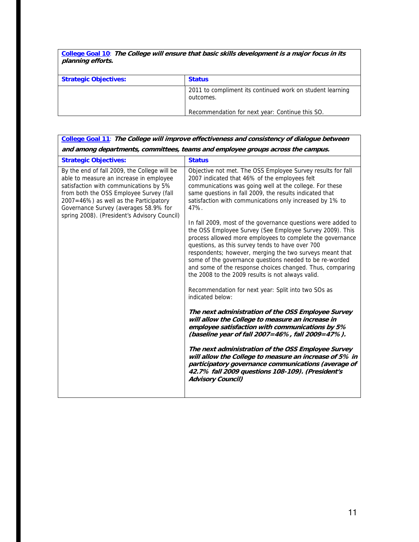**College Goal 10**: **The College will ensure that basic skills development is a major focus in its planning efforts.** 

| <b>Strategic Objectives:</b> | <b>Status</b>                                                          |
|------------------------------|------------------------------------------------------------------------|
|                              | 2011 to compliment its continued work on student learning<br>outcomes. |
|                              | Recommendation for next year: Continue this SO.                        |

| and among departments, committees, teams and employee groups across the campus.                                                                                                                                                                                                                                                                                           |  |
|---------------------------------------------------------------------------------------------------------------------------------------------------------------------------------------------------------------------------------------------------------------------------------------------------------------------------------------------------------------------------|--|
|                                                                                                                                                                                                                                                                                                                                                                           |  |
| Objective not met. The OSS Employee Survey results for fall<br>communications was going well at the college. For these<br>satisfaction with communications only increased by 1% to                                                                                                                                                                                        |  |
| In fall 2009, most of the governance questions were added to<br>the OSS Employee Survey (See Employee Survey 2009). This<br>process allowed more employees to complete the governance<br>respondents; however, merging the two surveys meant that<br>some of the governance questions needed to be re-worded<br>and some of the response choices changed. Thus, comparing |  |
|                                                                                                                                                                                                                                                                                                                                                                           |  |
| The next administration of the OSS Employee Survey<br>employee satisfaction with communications by 5%<br>(baseline year of fall 2007=46%, fall 2009=47%).                                                                                                                                                                                                                 |  |
| The next administration of the OSS Employee Survey<br>will allow the College to measure an increase of 5% in<br>participatory governance communications (average of<br>42.7% fall 2009 questions 108-109). (President's                                                                                                                                                   |  |
|                                                                                                                                                                                                                                                                                                                                                                           |  |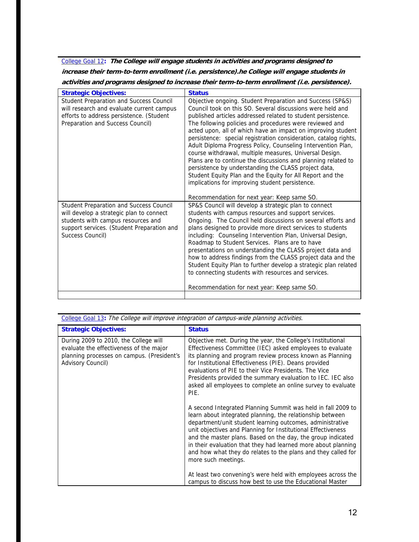College Goal 12**: The College will engage students in activities and programs designed to increase their term-to-term enrollment (i.e. persistence).he College will engage students in activities and programs designed to increase their term-to-term enrollment (i.e. persistence).** 

| <b>Strategic Objectives:</b>                                                                                                                                                                | <b>Status</b>                                                                                                                                                                                                                                                                                                                                                                                                                                                                                                                                                                                                                                                                                                                                              |
|---------------------------------------------------------------------------------------------------------------------------------------------------------------------------------------------|------------------------------------------------------------------------------------------------------------------------------------------------------------------------------------------------------------------------------------------------------------------------------------------------------------------------------------------------------------------------------------------------------------------------------------------------------------------------------------------------------------------------------------------------------------------------------------------------------------------------------------------------------------------------------------------------------------------------------------------------------------|
| Student Preparation and Success Council<br>will research and evaluate current campus<br>efforts to address persistence. (Student<br>Preparation and Success Council)                        | Objective ongoing. Student Preparation and Success (SP&S)<br>Council took on this SO. Several discussions were held and<br>published articles addressed related to student persistence.<br>The following policies and procedures were reviewed and<br>acted upon, all of which have an impact on improving student<br>persistence: special registration consideration, catalog rights,<br>Adult Diploma Progress Policy, Counseling Intervention Plan,<br>course withdrawal, multiple measures, Universal Design.<br>Plans are to continue the discussions and planning related to<br>persistence by understanding the CLASS project data,<br>Student Equity Plan and the Equity for All Report and the<br>implications for improving student persistence. |
|                                                                                                                                                                                             | Recommendation for next year: Keep same SO.                                                                                                                                                                                                                                                                                                                                                                                                                                                                                                                                                                                                                                                                                                                |
| Student Preparation and Success Council<br>will develop a strategic plan to connect<br>students with campus resources and<br>support services. (Student Preparation and<br>Success Council) | SP&S Council will develop a strategic plan to connect<br>students with campus resources and support services.<br>Ongoing. The Council held discussions on several efforts and<br>plans designed to provide more direct services to students<br>including: Counseling Intervention Plan, Universal Design,<br>Roadmap to Student Services. Plans are to have<br>presentations on understanding the CLASS project data and<br>how to address findings from the CLASS project data and the<br>Student Equity Plan to further develop a strategic plan related<br>to connecting students with resources and services.                                                                                                                                          |
|                                                                                                                                                                                             | Recommendation for next year: Keep same SO.                                                                                                                                                                                                                                                                                                                                                                                                                                                                                                                                                                                                                                                                                                                |
|                                                                                                                                                                                             |                                                                                                                                                                                                                                                                                                                                                                                                                                                                                                                                                                                                                                                                                                                                                            |

| College Goal 13: The College will improve integration of campus-wide planning activities.                                                           |                                                                                                                                                                                                                                                                                                                                                                                                                                                                                |
|-----------------------------------------------------------------------------------------------------------------------------------------------------|--------------------------------------------------------------------------------------------------------------------------------------------------------------------------------------------------------------------------------------------------------------------------------------------------------------------------------------------------------------------------------------------------------------------------------------------------------------------------------|
| <b>Strategic Objectives:</b>                                                                                                                        | <b>Status</b>                                                                                                                                                                                                                                                                                                                                                                                                                                                                  |
| During 2009 to 2010, the College will<br>evaluate the effectiveness of the major<br>planning processes on campus. (President's<br>Advisory Council) | Objective met. During the year, the College's Institutional<br>Effectiveness Committee (IEC) asked employees to evaluate<br>its planning and program review process known as Planning<br>for Institutional Effectiveness (PIE). Deans provided<br>evaluations of PIE to their Vice Presidents. The Vice<br>Presidents provided the summary evaluation to IEC. IEC also<br>asked all employees to complete an online survey to evaluate<br>PIE.                                 |
|                                                                                                                                                     | A second Integrated Planning Summit was held in fall 2009 to<br>learn about integrated planning, the relationship between<br>department/unit student learning outcomes, administrative<br>unit objectives and Planning for Institutional Effectiveness<br>and the master plans. Based on the day, the group indicated<br>in their evaluation that they had learned more about planning<br>and how what they do relates to the plans and they called for<br>more such meetings. |
|                                                                                                                                                     | At least two convening's were held with employees across the<br>campus to discuss how best to use the Educational Master                                                                                                                                                                                                                                                                                                                                                       |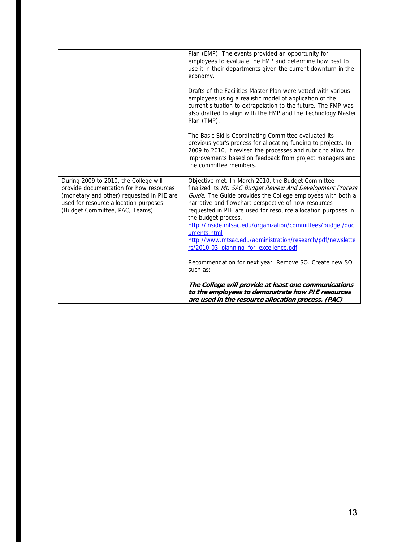|                                                                                                                                                                                                           | Plan (EMP). The events provided an opportunity for<br>employees to evaluate the EMP and determine how best to<br>use it in their departments given the current downturn in the<br>economy.<br>Drafts of the Facilities Master Plan were vetted with various<br>employees using a realistic model of application of the<br>current situation to extrapolation to the future. The FMP was<br>also drafted to align with the EMP and the Technology Master<br>Plan (TMP).                                                |
|-----------------------------------------------------------------------------------------------------------------------------------------------------------------------------------------------------------|-----------------------------------------------------------------------------------------------------------------------------------------------------------------------------------------------------------------------------------------------------------------------------------------------------------------------------------------------------------------------------------------------------------------------------------------------------------------------------------------------------------------------|
|                                                                                                                                                                                                           | The Basic Skills Coordinating Committee evaluated its<br>previous year's process for allocating funding to projects. In<br>2009 to 2010, it revised the processes and rubric to allow for<br>improvements based on feedback from project managers and<br>the committee members.                                                                                                                                                                                                                                       |
| During 2009 to 2010, the College will<br>provide documentation for how resources<br>(monetary and other) requested in PIE are<br>used for resource allocation purposes.<br>(Budget Committee, PAC, Teams) | Objective met. In March 2010, the Budget Committee<br>finalized its Mt. SAC Budget Review And Development Process<br>Guide. The Guide provides the College employees with both a<br>narrative and flowchart perspective of how resources<br>requested in PIE are used for resource allocation purposes in<br>the budget process.<br>http://inside.mtsac.edu/organization/committees/budget/doc<br>uments.html<br>http://www.mtsac.edu/administration/research/pdf/newslette<br>rs/2010-03_planning_for_excellence.pdf |
|                                                                                                                                                                                                           | Recommendation for next year: Remove SO. Create new SO<br>such as:                                                                                                                                                                                                                                                                                                                                                                                                                                                    |
|                                                                                                                                                                                                           | The College will provide at least one communications<br>to the employees to demonstrate how PIE resources<br>are used in the resource allocation process. (PAC)                                                                                                                                                                                                                                                                                                                                                       |